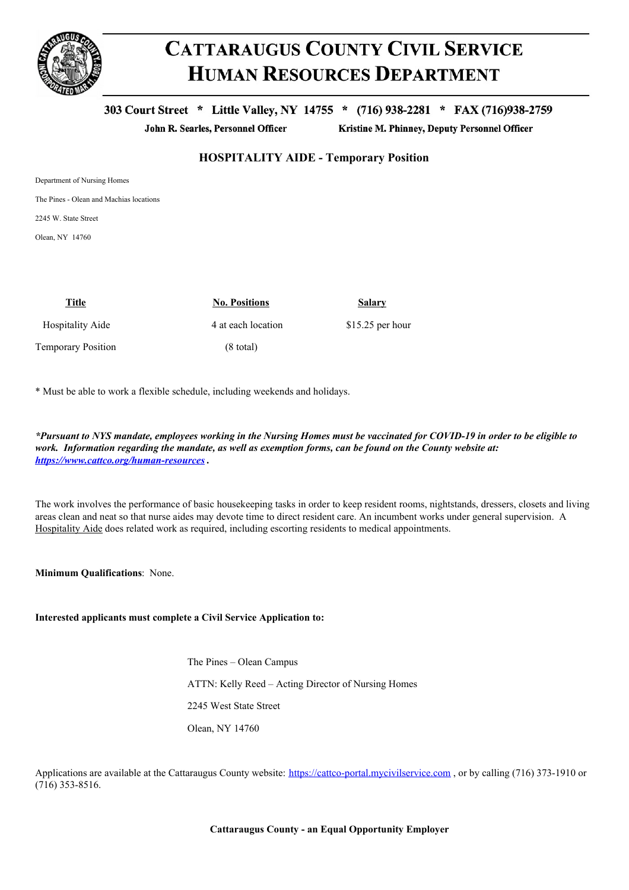

## **CATTARAUGUS COUNTY CIVIL SERVICE HUMAN RESOURCES DEPARTMENT**

303 Court Street \* Little Valley, NY 14755 \* (716) 938-2281 \* FAX (716)938-2759

John R. Searles, Personnel Officer

Kristine M. Phinney, Deputy Personnel Officer

## **HOSPITALITY AIDE - Temporary Position**

The Pines - Olean and Machias locations

2245 W. State Street

Olean, NY 14760

| Title                   | <b>No. Positions</b> | Salary            |
|-------------------------|----------------------|-------------------|
| <b>Hospitality Aide</b> | 4 at each location   | $$15.25$ per hour |
| Temporary Position      | $(8 \text{ total})$  |                   |

\* Must be able to work a flexible schedule, including weekends and holidays.

\*Pursuant to NYS mandate, employees working in the Nursing Homes must be vaccinated for COVID-19 in order to be eligible to work. Information regarding the mandate, as well as exemption forms, can be found on the County website at: *<https://www.cattco.org/human-resources> .*

The work involves the performance of basic housekeeping tasks in order to keep resident rooms, nightstands, dressers, closets and living areas clean and neat so that nurse aides may devote time to direct resident care. An incumbent works under general supervision. A Hospitality Aide does related work as required, including escorting residents to medical appointments.

**Minimum Qualifications**: None.

**Interested applicants must complete a Civil Service Application to:**

The Pines – Olean Campus ATTN: Kelly Reed – Acting Director of Nursing Homes 2245 West State Street Olean, NY 14760

Applications are available at the Cattaraugus County website: [https://cattco-portal.mycivilservice.com](https://cattco-portal.mycivilservice.com/), or by calling (716) 373-1910 or (716) 353-8516.

**Cattaraugus County - an Equal Opportunity Employer**